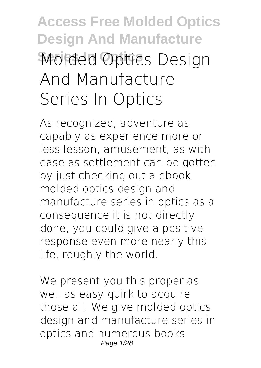# **Access Free Molded Optics Design And Manufacture Series In Optics Molded Optics Design And Manufacture Series In Optics**

As recognized, adventure as capably as experience more or less lesson, amusement, as with ease as settlement can be gotten by just checking out a ebook **molded optics design and manufacture series in optics** as a consequence it is not directly done, you could give a positive response even more nearly this life, roughly the world.

We present you this proper as well as easy quirk to acquire those all. We give molded optics design and manufacture series in optics and numerous books Page 1/28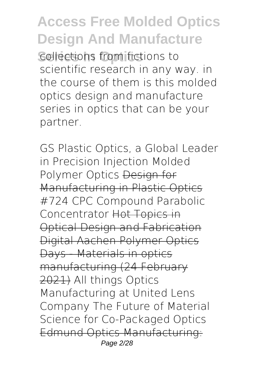**Series In Optics** collections from fictions to scientific research in any way. in the course of them is this molded optics design and manufacture series in optics that can be your partner.

*GS Plastic Optics, a Global Leader in Precision Injection Molded Polymer Optics* Design for Manufacturing in Plastic Optics #724 CPC Compound Parabolic Concentrator Hot Topics in Optical Design and Fabrication Digital Aachen Polymer Optics Days - Materials in optics manufacturing (24 February 2021) *All things Optics Manufacturing at United Lens Company The Future of Material Science for Co-Packaged Optics* Edmund Optics Manufacturing: Page 2/28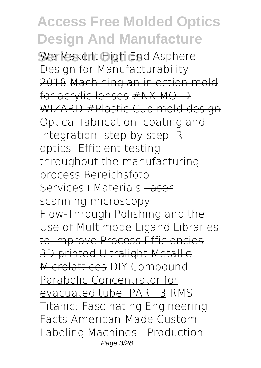We Make It High-End Asphere Design for Manufacturability -2018 Machining an injection mold for acrylic lenses #NX MOLD WIZARD #Plastic Cup mold design Optical fabrication, coating and integration: step by step **IR optics: Efficient testing throughout the manufacturing process** Bereichsfoto Services+Materials Laser scanning microscopy Flow-Through Polishing and the Use of Multimode Ligand Libraries to Improve Process Efficiencies 3D printed Ultralight Metallic Microlattices DIY Compound Parabolic Concentrator for evacuated tube. PART 3 RMS Titanic: Fascinating Engineering Facts American-Made Custom Labeling Machines | Production Page 3/28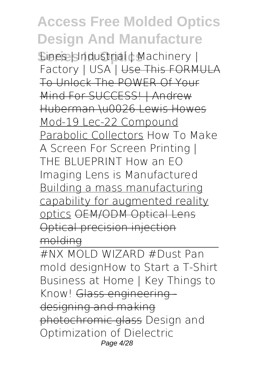**Sines Islndustrial d Machinery |** Factory | USA<sup>-</sup>| Use This FORMULA To Unlock The POWER Of Your Mind For SUCCESS! | Andrew Huberman \u0026 Lewis Howes Mod-19 Lec-22 Compound Parabolic Collectors How To Make A Screen For Screen Printing | THE BLUEPRINT *How an EO Imaging Lens is Manufactured* Building a mass manufacturing capability for augmented reality optics OEM/ODM Optical Lens Optical precision injection molding

#NX MOLD WIZARD #Dust Pan mold design*How to Start a T-Shirt Business at Home | Key Things to Know!* Glass engineering designing and making photochromic glass *Design and Optimization of Dielectric* Page 4/28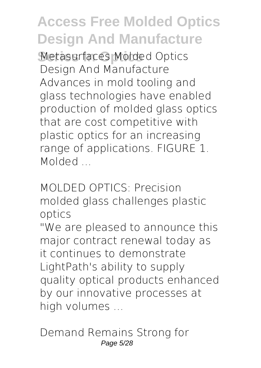**Series In Optics** *Metasurfaces* Molded Optics Design And Manufacture Advances in mold tooling and glass technologies have enabled production of molded glass optics that are cost competitive with plastic optics for an increasing range of applications. FIGURE 1. Molded ...

MOLDED OPTICS: Precision molded glass challenges plastic optics

"We are pleased to announce this major contract renewal today as it continues to demonstrate LightPath's ability to supply quality optical products enhanced by our innovative processes at high volumes ...

Demand Remains Strong for Page 5/28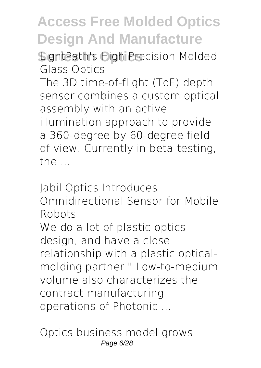**Series In Optics** LightPath's High Precision Molded Glass Optics

The 3D time-of-flight (ToF) depth sensor combines a custom optical assembly with an active illumination approach to provide a 360-degree by 60-degree field of view. Currently in beta-testing, the ...

Jabil Optics Introduces Omnidirectional Sensor for Mobile Robots We do a lot of plastic optics design, and have a close relationship with a plastic opticalmolding partner." Low-to-medium volume also characterizes the contract manufacturing operations of Photonic ...

Optics business model grows Page 6/28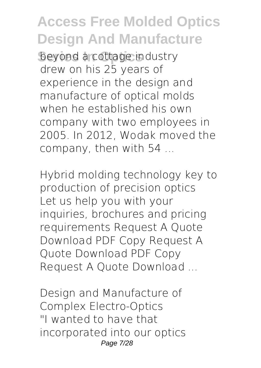beyond a cottage industry drew on his 25 years of experience in the design and manufacture of optical molds when he established his own company with two employees in 2005. In 2012, Wodak moved the company, then with 54 ...

Hybrid molding technology key to production of precision optics Let us help you with your inquiries, brochures and pricing requirements Request A Quote Download PDF Copy Request A Quote Download PDF Copy Request A Quote Download ...

Design and Manufacture of Complex Electro-Optics "I wanted to have that incorporated into our optics Page 7/28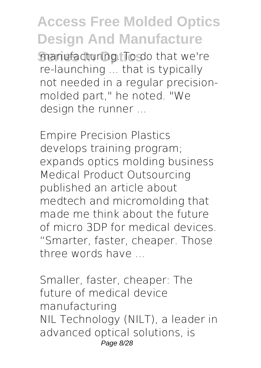**Series In Optics** manufacturing. To do that we're re-launching ... that is typically not needed in a regular precisionmolded part," he noted. "We design the runner ...

Empire Precision Plastics develops training program; expands optics molding business Medical Product Outsourcing published an article about medtech and micromolding that made me think about the future of micro 3DP for medical devices. "Smarter, faster, cheaper. Those three words have ...

Smaller, faster, cheaper: The future of medical device manufacturing NIL Technology (NILT), a leader in advanced optical solutions, is Page 8/28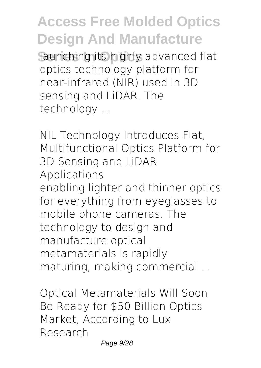**Series In Optics** launching its highly advanced flat optics technology platform for near-infrared (NIR) used in 3D sensing and LiDAR. The technology ...

NIL Technology Introduces Flat, Multifunctional Optics Platform for 3D Sensing and LiDAR Applications enabling lighter and thinner optics for everything from eyeglasses to mobile phone cameras. The technology to design and manufacture optical metamaterials is rapidly maturing, making commercial ...

Optical Metamaterials Will Soon Be Ready for \$50 Billion Optics Market, According to Lux Research Page 9/28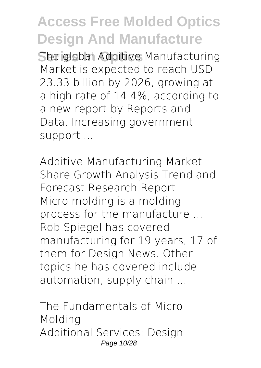**She global Additive Manufacturing** Market is expected to reach USD 23.33 billion by 2026, growing at a high rate of 14.4%, according to a new report by Reports and Data. Increasing government support ...

Additive Manufacturing Market Share Growth Analysis Trend and Forecast Research Report Micro molding is a molding process for the manufacture ... Rob Spiegel has covered manufacturing for 19 years, 17 of them for Design News. Other topics he has covered include automation, supply chain ...

The Fundamentals of Micro Molding Additional Services: Design Page 10/28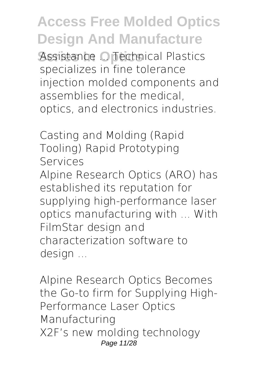Assistance ... Technical Plastics specializes in fine tolerance injection molded components and assemblies for the medical, optics, and electronics industries.

Casting and Molding (Rapid Tooling) Rapid Prototyping Services Alpine Research Optics (ARO) has established its reputation for supplying high-performance laser optics manufacturing with ... With FilmStar design and characterization software to design ...

Alpine Research Optics Becomes the Go-to firm for Supplying High-Performance Laser Optics Manufacturing X2F's new molding technology Page 11/28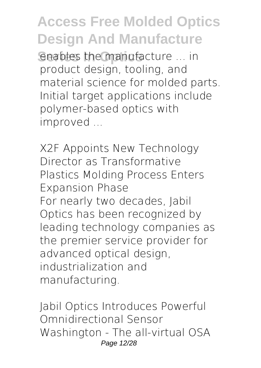**Senables the manufacture ... in** product design, tooling, and material science for molded parts. Initial target applications include polymer-based optics with improved ...

X2F Appoints New Technology Director as Transformative Plastics Molding Process Enters Expansion Phase For nearly two decades, Jabil Optics has been recognized by leading technology companies as the premier service provider for advanced optical design, industrialization and manufacturing.

Jabil Optics Introduces Powerful Omnidirectional Sensor Washington - The all-virtual OSA Page 12/28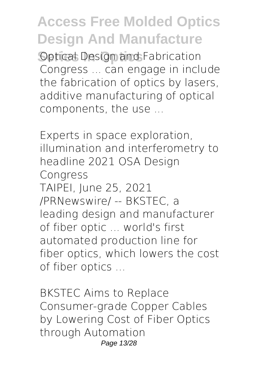**Septical Design and Fabrication** Congress ... can engage in include the fabrication of optics by lasers, additive manufacturing of optical components, the use ...

Experts in space exploration, illumination and interferometry to headline 2021 OSA Design Congress TAIPEI, June 25, 2021 /PRNewswire/ -- BKSTEC, a leading design and manufacturer of fiber optic ... world's first automated production line for fiber optics, which lowers the cost of fiber optics ...

BKSTEC Aims to Replace Consumer-grade Copper Cables by Lowering Cost of Fiber Optics through Automation Page 13/28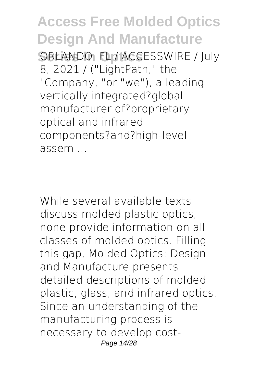**ORLANDO, FL / ACCESSWIRE / July** 8, 2021 / ("LightPath," the "Company, "or "we"), a leading vertically integrated?global manufacturer of?proprietary optical and infrared components?and?high-level assem ...

While several available texts discuss molded plastic optics, none provide information on all classes of molded optics. Filling this gap, Molded Optics: Design and Manufacture presents detailed descriptions of molded plastic, glass, and infrared optics. Since an understanding of the manufacturing process is necessary to develop cost-Page 14/28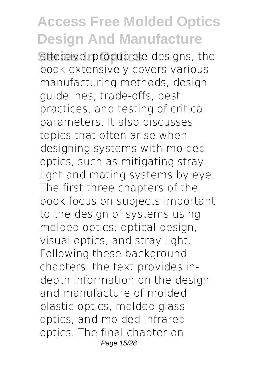effective, producible designs, the book extensively covers various manufacturing methods, design guidelines, trade-offs, best practices, and testing of critical parameters. It also discusses topics that often arise when designing systems with molded optics, such as mitigating stray light and mating systems by eye. The first three chapters of the book focus on subjects important to the design of systems using molded optics: optical design, visual optics, and stray light. Following these background chapters, the text provides indepth information on the design and manufacture of molded plastic optics, molded glass optics, and molded infrared optics. The final chapter on Page 15/28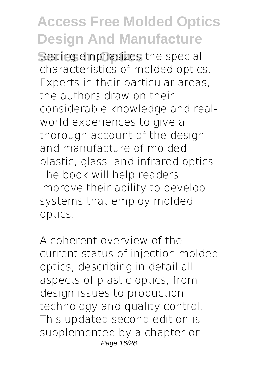testing emphasizes the special characteristics of molded optics. Experts in their particular areas, the authors draw on their considerable knowledge and realworld experiences to give a thorough account of the design and manufacture of molded plastic, glass, and infrared optics. The book will help readers improve their ability to develop systems that employ molded optics.

A coherent overview of the current status of injection molded optics, describing in detail all aspects of plastic optics, from design issues to production technology and quality control. This updated second edition is supplemented by a chapter on Page 16/28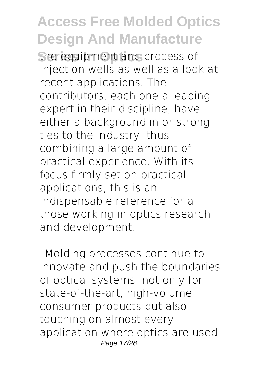the equipment and process of injection wells as well as a look at recent applications. The contributors, each one a leading expert in their discipline, have either a background in or strong ties to the industry, thus combining a large amount of practical experience. With its focus firmly set on practical applications, this is an indispensable reference for all those working in optics research and development.

"Molding processes continue to innovate and push the boundaries of optical systems, not only for state-of-the-art, high-volume consumer products but also touching on almost every application where optics are used, Page 17/28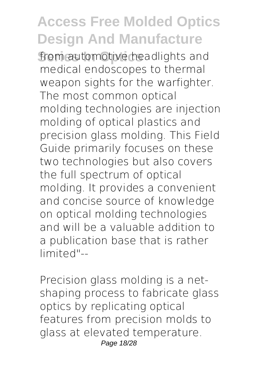from automotive headlights and medical endoscopes to thermal weapon sights for the warfighter. The most common optical molding technologies are injection molding of optical plastics and precision glass molding. This Field Guide primarily focuses on these two technologies but also covers the full spectrum of optical molding. It provides a convenient and concise source of knowledge on optical molding technologies and will be a valuable addition to a publication base that is rather limited"--

Precision glass molding is a netshaping process to fabricate glass optics by replicating optical features from precision molds to glass at elevated temperature. Page 18/28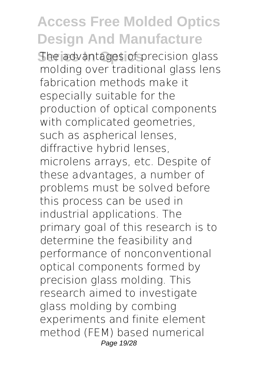The advantages of precision glass molding over traditional glass lens fabrication methods make it especially suitable for the production of optical components with complicated geometries, such as aspherical lenses, diffractive hybrid lenses, microlens arrays, etc. Despite of these advantages, a number of problems must be solved before this process can be used in industrial applications. The primary goal of this research is to determine the feasibility and performance of nonconventional optical components formed by precision glass molding. This research aimed to investigate glass molding by combing experiments and finite element method (FEM) based numerical Page 19/28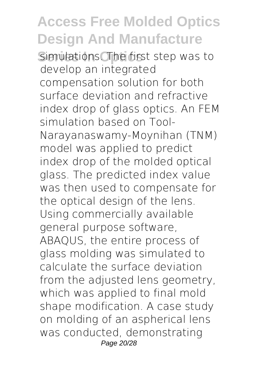Simulations. The first step was to develop an integrated compensation solution for both surface deviation and refractive index drop of glass optics. An FEM simulation based on Tool-Narayanaswamy-Moynihan (TNM) model was applied to predict index drop of the molded optical glass. The predicted index value was then used to compensate for the optical design of the lens. Using commercially available general purpose software, ABAQUS, the entire process of glass molding was simulated to calculate the surface deviation from the adjusted lens geometry, which was applied to final mold shape modification. A case study on molding of an aspherical lens was conducted, demonstrating Page 20/28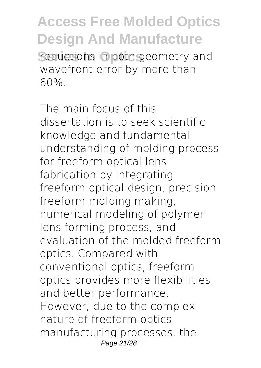Feductions in both geometry and wavefront error by more than 60%.

The main focus of this dissertation is to seek scientific knowledge and fundamental understanding of molding process for freeform optical lens fabrication by integrating freeform optical design, precision freeform molding making, numerical modeling of polymer lens forming process, and evaluation of the molded freeform optics. Compared with conventional optics, freeform optics provides more flexibilities and better performance. However, due to the complex nature of freeform optics manufacturing processes, the Page 21/28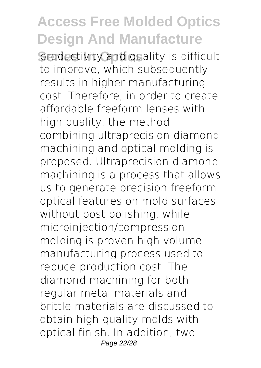productivity and quality is difficult to improve, which subsequently results in higher manufacturing cost. Therefore, in order to create affordable freeform lenses with high quality, the method combining ultraprecision diamond machining and optical molding is proposed. Ultraprecision diamond machining is a process that allows us to generate precision freeform optical features on mold surfaces without post polishing, while microinjection/compression molding is proven high volume manufacturing process used to reduce production cost. The diamond machining for both regular metal materials and brittle materials are discussed to obtain high quality molds with optical finish. In addition, two Page 22/28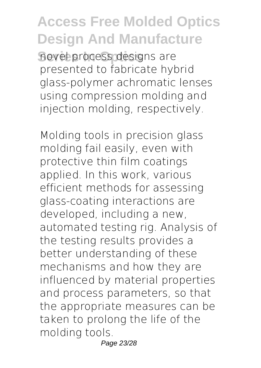**Series In Optics** novel process designs are presented to fabricate hybrid glass-polymer achromatic lenses using compression molding and injection molding, respectively.

Molding tools in precision glass molding fail easily, even with protective thin film coatings applied. In this work, various efficient methods for assessing glass-coating interactions are developed, including a new, automated testing rig. Analysis of the testing results provides a better understanding of these mechanisms and how they are influenced by material properties and process parameters, so that the appropriate measures can be taken to prolong the life of the molding tools.

Page 23/28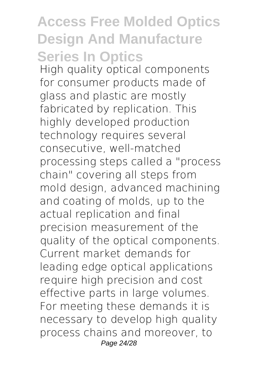#### **Access Free Molded Optics Design And Manufacture Series In Optics**

High quality optical components for consumer products made of glass and plastic are mostly fabricated by replication. This highly developed production technology requires several consecutive, well-matched processing steps called a "process chain" covering all steps from mold design, advanced machining and coating of molds, up to the actual replication and final precision measurement of the quality of the optical components. Current market demands for leading edge optical applications require high precision and cost effective parts in large volumes. For meeting these demands it is necessary to develop high quality process chains and moreover, to Page 24/28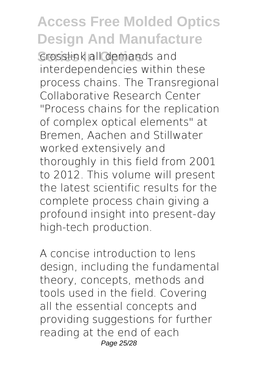**Series In Line III** demands and interdependencies within these process chains. The Transregional Collaborative Research Center "Process chains for the replication of complex optical elements" at Bremen, Aachen and Stillwater worked extensively and thoroughly in this field from 2001 to 2012. This volume will present the latest scientific results for the complete process chain giving a profound insight into present-day high-tech production.

A concise introduction to lens design, including the fundamental theory, concepts, methods and tools used in the field. Covering all the essential concepts and providing suggestions for further reading at the end of each Page 25/28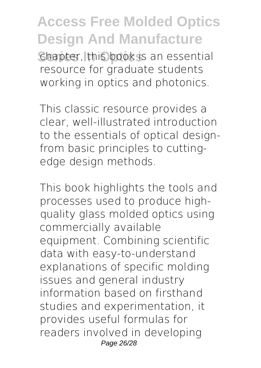**Series In Optics** chapter, this book is an essential resource for graduate students working in optics and photonics.

This classic resource provides a clear, well-illustrated introduction to the essentials of optical designfrom basic principles to cuttingedge design methods.

This book highlights the tools and processes used to produce highquality glass molded optics using commercially available equipment. Combining scientific data with easy-to-understand explanations of specific molding issues and general industry information based on firsthand studies and experimentation, it provides useful formulas for readers involved in developing Page 26/28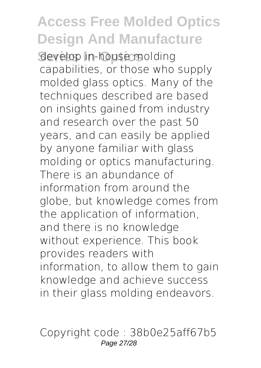develop in-house molding capabilities, or those who supply molded glass optics. Many of the techniques described are based on insights gained from industry and research over the past 50 years, and can easily be applied by anyone familiar with glass molding or optics manufacturing. There is an abundance of information from around the globe, but knowledge comes from the application of information, and there is no knowledge without experience. This book provides readers with information, to allow them to gain knowledge and achieve success in their glass molding endeavors.

Copyright code : 38b0e25aff67b5 Page 27/28